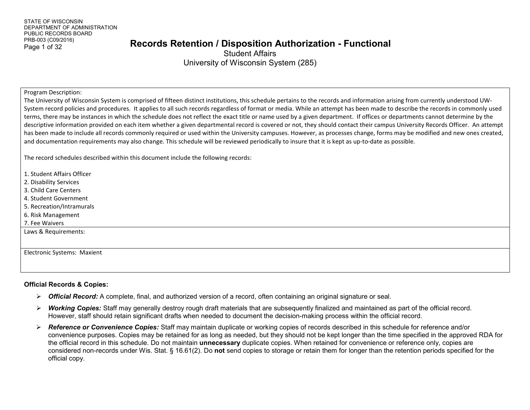#### Page 1 of 32 **Records Retention / Disposition Authorization - Functional**

Student Affairs University of Wisconsin System (285)

#### Program Description:

The University of Wisconsin System is comprised of fifteen distinct institutions, this schedule pertains to the records and information arising from currently understood UW-System record policies and procedures. It applies to all such records regardless of format or media. While an attempt has been made to describe the records in commonly used terms, there may be instances in which the schedule does not reflect the exact title or name used by a given department. If offices or departments cannot determine by the descriptive information provided on each item whether a given departmental record is covered or not, they should contact their campus University Records Officer. An attempt has been made to include all records commonly required or used within the University campuses. However, as processes change, forms may be modified and new ones created, and documentation requirements may also change. This schedule will be reviewed periodically to insure that it is kept as up-to-date as possible.

The record schedules described within this document include the following records:

- 1. Student Affairs Officer
- 2. Disability Services
- 3. Child Care Centers
- 4. Student Government
- 5. Recreation/Intramurals
- 6. Risk Management

7. Fee Waivers

Laws & Requirements:

Electronic Systems: Maxient

#### **Official Records & Copies:**

- *Official Record:* A complete, final, and authorized version of a record, often containing an original signature or seal.
- *Working Copies:* Staff may generally destroy rough draft materials that are subsequently finalized and maintained as part of the official record. However, staff should retain significant drafts when needed to document the decision-making process within the official record.
- *Reference or Convenience Copies:* Staff may maintain duplicate or working copies of records described in this schedule for reference and/or convenience purposes. Copies may be retained for as long as needed, but they should not be kept longer than the time specified in the approved RDA for the official record in this schedule. Do not maintain **unnecessary** duplicate copies. When retained for convenience or reference only, copies are considered non-records under Wis. Stat. § 16.61(2). Do **not** send copies to storage or retain them for longer than the retention periods specified for the official copy.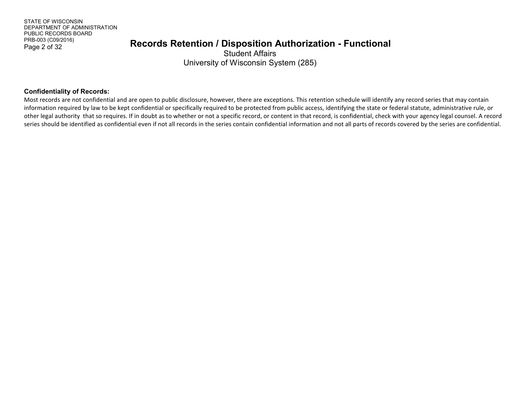#### Page 2 of 32 **Records Retention / Disposition Authorization - Functional**

Student Affairs University of Wisconsin System (285)

#### **Confidentiality of Records:**

Most records are not confidential and are open to public disclosure, however, there are exceptions. This retention schedule will identify any record series that may contain information required by law to be kept confidential or specifically required to be protected from public access, identifying the state or federal statute, administrative rule, or other legal authority that so requires. If in doubt as to whether or not a specific record, or content in that record, is confidential, check with your agency legal counsel. A record series should be identified as confidential even if not all records in the series contain confidential information and not all parts of records covered by the series are confidential.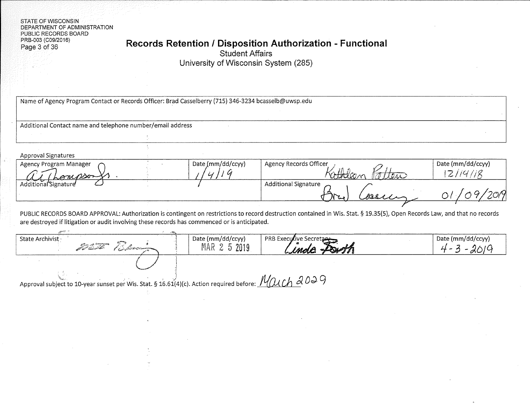**STATE OF WISCONSIN** DEPARTMENT OF ADMINISTRATION PUBLIC RECORDS BOARD PRB-003 (C09/2016) Page 3 of 36

#### Records Retention / Disposition Authorization - Functional

**Student Affairs** 

University of Wisconsin System (285)

| Additional Contact name and telephone number/email address                                                                         |                                   |                                                                                                                                                                            |                                     |
|------------------------------------------------------------------------------------------------------------------------------------|-----------------------------------|----------------------------------------------------------------------------------------------------------------------------------------------------------------------------|-------------------------------------|
|                                                                                                                                    |                                   |                                                                                                                                                                            |                                     |
|                                                                                                                                    |                                   |                                                                                                                                                                            |                                     |
| <b>Approval Signatures</b><br>Agency Program Manager<br>ernesse                                                                    | Date (mm/dd/ccyy)                 | Agency Records Officer                                                                                                                                                     | Date (mm/dd/ccyy)<br>2114/18        |
| Additional Signature                                                                                                               |                                   | <b>Additional Signature</b>                                                                                                                                                |                                     |
| are destroyed if litigation or audit involving these records has commenced or is anticipated.                                      |                                   | PUBLIC RECORDS BOARD APPROVAL: Authorization is contingent on restrictions to record destruction contained in Wis. Stat. § 19.35(5), Open Records Law, and that no records |                                     |
| State Archivist ·<br>for the compact of the film of the compact of the compact of the compact of the compact of the compact of the | Date (mm/dd/ccyy)<br>MAR 2 5 2019 | <b>PRB Executive Secretar</b>                                                                                                                                              | Date (mm/dd/ccyy)<br>$4 - 3 - 2019$ |
|                                                                                                                                    |                                   |                                                                                                                                                                            |                                     |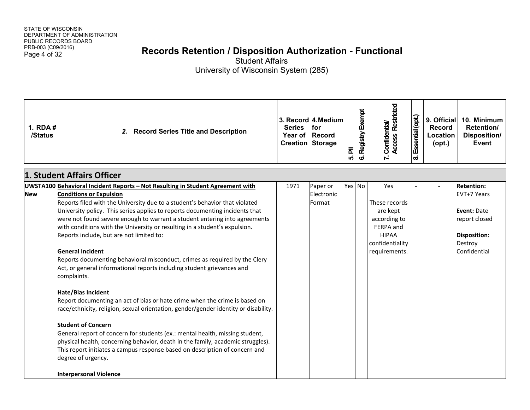# Page 4 of 32 **Records Retention / Disposition Authorization - Functional**

| 1. $RDA#$<br>/Status | <b>Record Series Title and Description</b><br>2.                                                                                                                                                                                                                                                                                                                                                                                                                                                                                                                                                                                                                                                                                                                                                                                                                                                                                                                                                                                                                                                                                                                                                                           | <b>Series</b> | 3. Record 4. Medium<br>for<br>Year of Record<br><b>Creation Storage</b> | ՟<br>เก่ | 6. Registry Exempt | 7. Confidential/<br>Access Restricted                                                                             | Essential (opt.)<br>ထံ | 9. Official<br>Record<br>Location<br>$($ opt. $)$ | 10. Minimum<br>Retention/<br>Disposition/<br>Event                                                          |
|----------------------|----------------------------------------------------------------------------------------------------------------------------------------------------------------------------------------------------------------------------------------------------------------------------------------------------------------------------------------------------------------------------------------------------------------------------------------------------------------------------------------------------------------------------------------------------------------------------------------------------------------------------------------------------------------------------------------------------------------------------------------------------------------------------------------------------------------------------------------------------------------------------------------------------------------------------------------------------------------------------------------------------------------------------------------------------------------------------------------------------------------------------------------------------------------------------------------------------------------------------|---------------|-------------------------------------------------------------------------|----------|--------------------|-------------------------------------------------------------------------------------------------------------------|------------------------|---------------------------------------------------|-------------------------------------------------------------------------------------------------------------|
|                      | 1. Student Affairs Officer                                                                                                                                                                                                                                                                                                                                                                                                                                                                                                                                                                                                                                                                                                                                                                                                                                                                                                                                                                                                                                                                                                                                                                                                 |               |                                                                         |          |                    |                                                                                                                   |                        |                                                   |                                                                                                             |
| <b>New</b>           | UWSTA100 Behavioral Incident Reports - Not Resulting in Student Agreement with<br><b>Conditions or Expulsion</b><br>Reports filed with the University due to a student's behavior that violated<br>University policy. This series applies to reports documenting incidents that<br>were not found severe enough to warrant a student entering into agreements<br>with conditions with the University or resulting in a student's expulsion.<br>Reports include, but are not limited to:<br><b>General Incident</b><br>Reports documenting behavioral misconduct, crimes as required by the Clery<br>Act, or general informational reports including student grievances and<br>complaints.<br><b>Hate/Bias Incident</b><br>Report documenting an act of bias or hate crime when the crime is based on<br>race/ethnicity, religion, sexual orientation, gender/gender identity or disability.<br><b>Student of Concern</b><br>General report of concern for students (ex.: mental health, missing student,<br>physical health, concerning behavior, death in the family, academic struggles).<br>This report initiates a campus response based on description of concern and<br>degree of urgency.<br>Interpersonal Violence | 1971          | Paper or<br>Electronic<br>Format                                        | Yes No   |                    | Yes<br>These records<br>are kept<br>according to<br>FERPA and<br><b>HIPAA</b><br>confidentiality<br>requirements. |                        |                                                   | <b>Retention:</b><br>EVT+7 Years<br>Event: Date<br>report closed<br>Disposition:<br>Destroy<br>Confidential |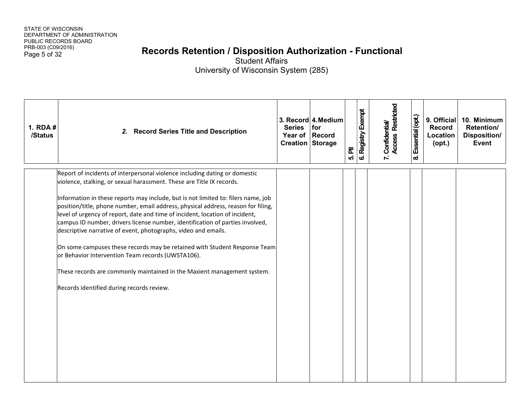### Page 5 of 32 **Records Retention / Disposition Authorization - Functional**

| 1. RDA #<br>/Status | <b>Record Series Title and Description</b><br>2.                                                                                                                                                                                                                                                                                                                                                                                                                                                                                                                                                                                                                                                                                                                                                                           | <b>Series</b><br>Year of Record<br>Creation Storage | 3. Record 4. Medium<br>for | 5. PII | 6. Registry Exempt | 7. Confidential/<br>Access Restricted | Essential (opt.)<br>$\boldsymbol{\omega}$ | 9. Official<br><b>Record</b><br>Location<br>$($ opt. $)$ | 10. Minimum<br>Retention/<br><b>Disposition/</b><br>Event |
|---------------------|----------------------------------------------------------------------------------------------------------------------------------------------------------------------------------------------------------------------------------------------------------------------------------------------------------------------------------------------------------------------------------------------------------------------------------------------------------------------------------------------------------------------------------------------------------------------------------------------------------------------------------------------------------------------------------------------------------------------------------------------------------------------------------------------------------------------------|-----------------------------------------------------|----------------------------|--------|--------------------|---------------------------------------|-------------------------------------------|----------------------------------------------------------|-----------------------------------------------------------|
|                     | Report of incidents of interpersonal violence including dating or domestic<br>violence, stalking, or sexual harassment. These are Title IX records.<br>Information in these reports may include, but is not limited to: filers name, job<br>position/title, phone number, email address, physical address, reason for filing,<br>level of urgency of report, date and time of incident, location of incident,<br>campus ID number, drivers license number, identification of parties involved,<br>descriptive narrative of event, photographs, video and emails.<br>On some campuses these records may be retained with Student Response Team<br>or Behavior Intervention Team records (UWSTA106).<br>These records are commonly maintained in the Maxient management system.<br>Records identified during records review. |                                                     |                            |        |                    |                                       |                                           |                                                          |                                                           |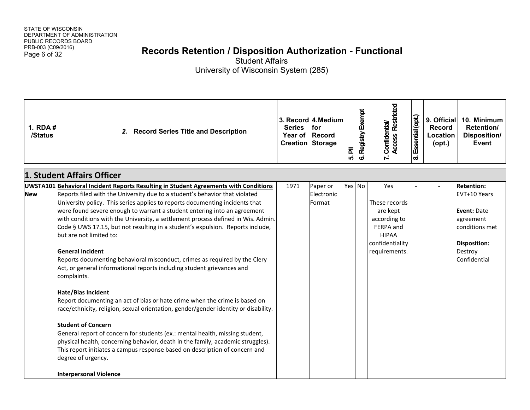# Page 6 of 32 **Records Retention / Disposition Authorization - Functional**

| 1. RDA #<br>/Status | 2. Record Series Title and Description                                                                                                                                                                                                                                                                                                                                                                                                                                                                                                                                                                                                                                                                                                                                                                                                                                                                                                                                                                                                                                                                                                                                                                                                                                     | <b>Series</b> | 3. Record 4. Medium<br>for<br>Year of Record<br>Creation Storage | ᇍ<br>ທ່ | Registry Exempt<br>$\bullet$ | <b>Access Restricted</b><br>7. Confidential/                                                                      | Essential (opt.)<br>ထံ | 9. Official<br><b>Record</b><br>Location<br>$($ opt. $)$ | 10. Minimum<br>Retention/<br>Disposition/<br><b>Event</b>                                                                         |
|---------------------|----------------------------------------------------------------------------------------------------------------------------------------------------------------------------------------------------------------------------------------------------------------------------------------------------------------------------------------------------------------------------------------------------------------------------------------------------------------------------------------------------------------------------------------------------------------------------------------------------------------------------------------------------------------------------------------------------------------------------------------------------------------------------------------------------------------------------------------------------------------------------------------------------------------------------------------------------------------------------------------------------------------------------------------------------------------------------------------------------------------------------------------------------------------------------------------------------------------------------------------------------------------------------|---------------|------------------------------------------------------------------|---------|------------------------------|-------------------------------------------------------------------------------------------------------------------|------------------------|----------------------------------------------------------|-----------------------------------------------------------------------------------------------------------------------------------|
|                     | 1. Student Affairs Officer                                                                                                                                                                                                                                                                                                                                                                                                                                                                                                                                                                                                                                                                                                                                                                                                                                                                                                                                                                                                                                                                                                                                                                                                                                                 |               |                                                                  |         |                              |                                                                                                                   |                        |                                                          |                                                                                                                                   |
| <b>New</b>          | UWSTA101 Behavioral Incident Reports Resulting in Student Agreements with Conditions<br>Reports filed with the University due to a student's behavior that violated<br>University policy. This series applies to reports documenting incidents that<br>were found severe enough to warrant a student entering into an agreement<br>with conditions with the University, a settlement process defined in Wis. Admin.<br>Code § UWS 17.15, but not resulting in a student's expulsion. Reports include,<br>but are not limited to:<br><b>General Incident</b><br>Reports documenting behavioral misconduct, crimes as required by the Clery<br>Act, or general informational reports including student grievances and<br>complaints.<br><b>Hate/Bias Incident</b><br>Report documenting an act of bias or hate crime when the crime is based on<br>race/ethnicity, religion, sexual orientation, gender/gender identity or disability.<br><b>Student of Concern</b><br>General report of concern for students (ex.: mental health, missing student,<br>physical health, concerning behavior, death in the family, academic struggles).<br>This report initiates a campus response based on description of concern and<br>degree of urgency.<br><b>Interpersonal Violence</b> | 1971          | Paper or<br>Electronic<br>Format                                 | Yes No  |                              | Yes<br>These records<br>are kept<br>according to<br>FERPA and<br><b>HIPAA</b><br>confidentiality<br>requirements. |                        |                                                          | <b>Retention:</b><br>EVT+10 Years<br>Event: Date<br>agreement<br>conditions met<br><b>Disposition:</b><br>Destroy<br>Confidential |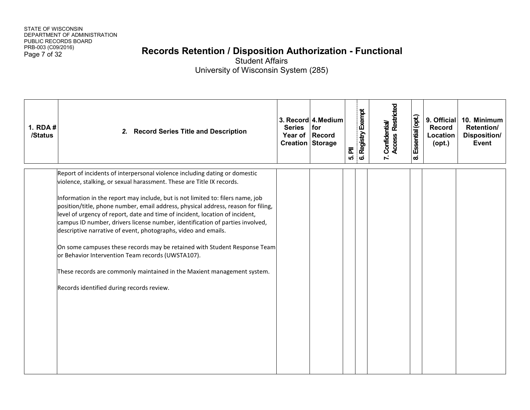# Page 7 of 32 **Records Retention / Disposition Authorization - Functional**

| 1. RDA #<br>/Status | 2.<br><b>Record Series Title and Description</b>                                                                                                                                                                                                                                                                                                                                                                                                                                                                                                                                                                                                                                                                                                                                                                        | <b>Series</b><br>Year of Record<br><b>Creation Storage</b> | 3. Record 4. Medium<br>for | ᇍ<br>ທ່ | Registry Exempt<br>$\mathbf{o}$ | 7. Confidential/<br>Access Restricted | Essential (opt.)<br>ထံ | 9. Official<br><b>Record</b><br>Location<br>$($ opt. $)$ | 10. Minimum<br>Retention/<br>Disposition/<br><b>Event</b> |
|---------------------|-------------------------------------------------------------------------------------------------------------------------------------------------------------------------------------------------------------------------------------------------------------------------------------------------------------------------------------------------------------------------------------------------------------------------------------------------------------------------------------------------------------------------------------------------------------------------------------------------------------------------------------------------------------------------------------------------------------------------------------------------------------------------------------------------------------------------|------------------------------------------------------------|----------------------------|---------|---------------------------------|---------------------------------------|------------------------|----------------------------------------------------------|-----------------------------------------------------------|
|                     | Report of incidents of interpersonal violence including dating or domestic<br>violence, stalking, or sexual harassment. These are Title IX records.<br>Information in the report may include, but is not limited to: filers name, job<br>position/title, phone number, email address, physical address, reason for filing,<br>level of urgency of report, date and time of incident, location of incident,<br>campus ID number, drivers license number, identification of parties involved,<br>descriptive narrative of event, photographs, video and emails.<br>On some campuses these records may be retained with Student Response Team<br>or Behavior Intervention Team records (UWSTA107).<br>These records are commonly maintained in the Maxient management system.<br>Records identified during records review. |                                                            |                            |         |                                 |                                       |                        |                                                          |                                                           |
|                     |                                                                                                                                                                                                                                                                                                                                                                                                                                                                                                                                                                                                                                                                                                                                                                                                                         |                                                            |                            |         |                                 |                                       |                        |                                                          |                                                           |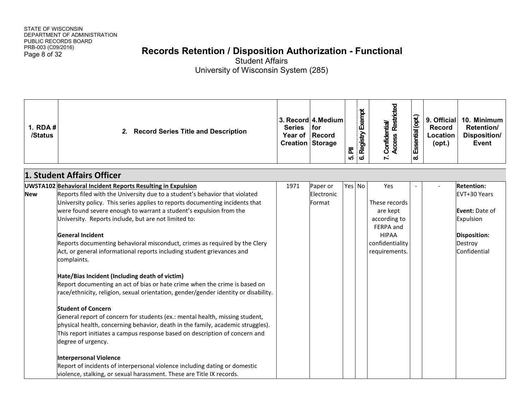# Page 8 of 32 **Records Retention / Disposition Authorization - Functional**

| 1. RDA #<br>/Status | <b>Record Series Title and Description</b><br>2.                                                                                                                                                                                                                                                                                                                                                                                                                                                                                                                                                                                                                                                                                                                                                                                                                                                                                                                                                                                                                                                                                                                                                                                                                                      | <b>Series</b> | 3. Record 4. Medium<br>for<br>Year of Record<br>Creation Storage | 司<br>ທ່ | Registry Exempt<br>$\ddot{\mathbf{c}}$ | <b>Access Restricted</b><br>7. Confidential/                                                                      | Essential (opt.)<br>ထံ | 9. Official<br>Record<br>Location<br>$($ opt. $)$ | 10. Minimum<br>Retention/<br><b>Disposition/</b><br><b>Event</b>                                            |
|---------------------|---------------------------------------------------------------------------------------------------------------------------------------------------------------------------------------------------------------------------------------------------------------------------------------------------------------------------------------------------------------------------------------------------------------------------------------------------------------------------------------------------------------------------------------------------------------------------------------------------------------------------------------------------------------------------------------------------------------------------------------------------------------------------------------------------------------------------------------------------------------------------------------------------------------------------------------------------------------------------------------------------------------------------------------------------------------------------------------------------------------------------------------------------------------------------------------------------------------------------------------------------------------------------------------|---------------|------------------------------------------------------------------|---------|----------------------------------------|-------------------------------------------------------------------------------------------------------------------|------------------------|---------------------------------------------------|-------------------------------------------------------------------------------------------------------------|
|                     | 1. Student Affairs Officer                                                                                                                                                                                                                                                                                                                                                                                                                                                                                                                                                                                                                                                                                                                                                                                                                                                                                                                                                                                                                                                                                                                                                                                                                                                            |               |                                                                  |         |                                        |                                                                                                                   |                        |                                                   |                                                                                                             |
| <b>New</b>          | <b>UWSTA102 Behavioral Incident Reports Resulting in Expulsion</b><br>Reports filed with the University due to a student's behavior that violated<br>University policy. This series applies to reports documenting incidents that<br>were found severe enough to warrant a student's expulsion from the<br>University. Reports include, but are not limited to:<br><b>General Incident</b><br>Reports documenting behavioral misconduct, crimes as required by the Clery<br>Act, or general informational reports including student grievances and<br>complaints.<br>Hate/Bias Incident (Including death of victim)<br>Report documenting an act of bias or hate crime when the crime is based on<br>race/ethnicity, religion, sexual orientation, gender/gender identity or disability.<br><b>Student of Concern</b><br>General report of concern for students (ex.: mental health, missing student,<br>physical health, concerning behavior, death in the family, academic struggles).<br>This report initiates a campus response based on description of concern and<br>degree of urgency.<br><b>Interpersonal Violence</b><br>Report of incidents of interpersonal violence including dating or domestic<br>violence, stalking, or sexual harassment. These are Title IX records. | 1971          | Paper or<br>Electronic<br>Format                                 | Yes No  |                                        | Yes<br>These records<br>are kept<br>according to<br>FERPA and<br><b>HIPAA</b><br>confidentiality<br>requirements. |                        |                                                   | <b>Retention:</b><br>EVT+30 Years<br>Event: Date of<br>Expulsion<br>Disposition:<br>Destroy<br>Confidential |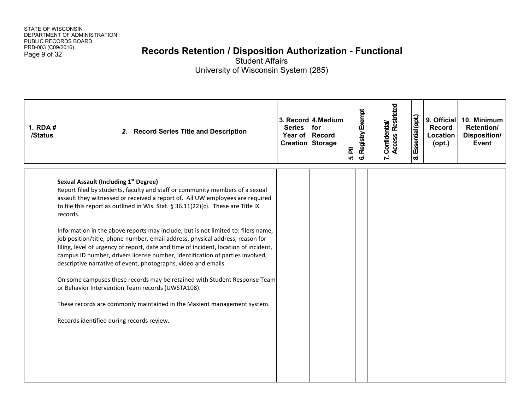# Page 9 of 32 **Records Retention / Disposition Authorization - Functional**

| 1. RDA #<br>/Status | 2. Record Series Title and Description                                                                                                                                                                                                                                                                                                                                                                                                                                                                                                                                                                                                                                                                                                                                                                                                                                                                                                                                            | <b>Series</b><br><b>Creation Storage</b> | 3. Record 4. Medium<br>for<br>Year of Record | $\overline{\overline{\mathtt{a}}}$<br>ທ່ | 6. Registry Exempt | <b>Access Restricted</b><br>7. Confidential/ | Essential (opt.)<br>$\boldsymbol{\infty}$ | 9. Official<br><b>Record</b><br>Location<br>$($ opt. $)$ | 10. Minimum<br>Retention/<br>Disposition/<br>Event |
|---------------------|-----------------------------------------------------------------------------------------------------------------------------------------------------------------------------------------------------------------------------------------------------------------------------------------------------------------------------------------------------------------------------------------------------------------------------------------------------------------------------------------------------------------------------------------------------------------------------------------------------------------------------------------------------------------------------------------------------------------------------------------------------------------------------------------------------------------------------------------------------------------------------------------------------------------------------------------------------------------------------------|------------------------------------------|----------------------------------------------|------------------------------------------|--------------------|----------------------------------------------|-------------------------------------------|----------------------------------------------------------|----------------------------------------------------|
|                     | Sexual Assault (Including 1st Degree)<br>Report filed by students, faculty and staff or community members of a sexual<br>assault they witnessed or received a report of. All UW employees are required<br>to file this report as outlined in Wis. Stat. § 36.11(22)(c). These are Title IX<br>records.<br>Information in the above reports may include, but is not limited to: filers name,<br>job position/title, phone number, email address, physical address, reason for<br>filing, level of urgency of report, date and time of incident, location of incident,<br>campus ID number, drivers license number, identification of parties involved,<br>descriptive narrative of event, photographs, video and emails.<br>On some campuses these records may be retained with Student Response Team<br>or Behavior Intervention Team records (UWSTA108).<br>These records are commonly maintained in the Maxient management system.<br>Records identified during records review. |                                          |                                              |                                          |                    |                                              |                                           |                                                          |                                                    |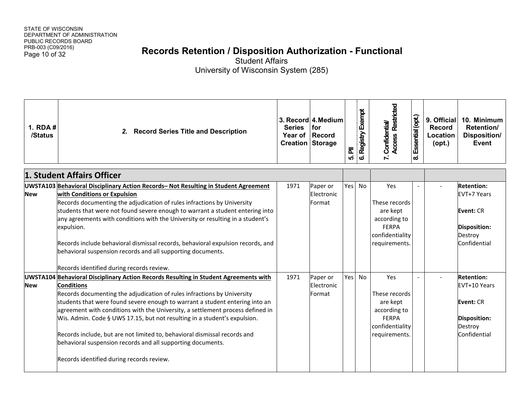# Page 10 of 32 **Records Retention / Disposition Authorization - Functional**

| 1. $RDA#$<br>/Status | 2. Record Series Title and Description                                                                                                                                                                                                                                                                                                                                                                                                                                                                                                                                                                                       | <b>Series</b><br>Year of<br><b>Creation Storage</b> | 3. Record 4. Medium<br>l for<br>Record | 눈<br>ທ່ | 6. Registry Exempt | <b>Access Restricted</b><br><b>Confidential/</b><br>$\bar{r}$                                        | Essential (opt.)<br>$\boldsymbol{\infty}$ | 9. Official<br><b>Record</b><br>Location<br>$($ opt. $)$ | 10. Minimum<br>Retention/<br>Disposition/<br><b>Event</b>                                        |
|----------------------|------------------------------------------------------------------------------------------------------------------------------------------------------------------------------------------------------------------------------------------------------------------------------------------------------------------------------------------------------------------------------------------------------------------------------------------------------------------------------------------------------------------------------------------------------------------------------------------------------------------------------|-----------------------------------------------------|----------------------------------------|---------|--------------------|------------------------------------------------------------------------------------------------------|-------------------------------------------|----------------------------------------------------------|--------------------------------------------------------------------------------------------------|
|                      | 1. Student Affairs Officer                                                                                                                                                                                                                                                                                                                                                                                                                                                                                                                                                                                                   |                                                     |                                        |         |                    |                                                                                                      |                                           |                                                          |                                                                                                  |
| <b>New</b>           | UWSTA103 Behavioral Disciplinary Action Records- Not Resulting in Student Agreement<br>with Conditions or Expulsion<br>Records documenting the adjudication of rules infractions by University<br>students that were not found severe enough to warrant a student entering into<br>any agreements with conditions with the University or resulting in a student's<br>expulsion.<br>Records include behavioral dismissal records, behavioral expulsion records, and<br>behavioral suspension records and all supporting documents.<br>Records identified during records review.                                               | 1971                                                | Paper or<br>Electronic<br>Format       | Yes     | <b>No</b>          | Yes<br>These records<br>are kept<br>according to<br><b>FERPA</b><br>confidentiality<br>requirements. |                                           |                                                          | <b>Retention:</b><br>EVT+7 Years<br><b>Event: CR</b><br>Disposition:<br>Destroy<br>Confidential  |
| <b>New</b>           | UWSTA104 Behavioral Disciplinary Action Records Resulting in Student Agreements with<br><b>Conditions</b><br>Records documenting the adjudication of rules infractions by University<br>students that were found severe enough to warrant a student entering into an<br>agreement with conditions with the University, a settlement process defined in<br>Wis. Admin. Code § UWS 17.15, but not resulting in a student's expulsion.<br>Records include, but are not limited to, behavioral dismissal records and<br>behavioral suspension records and all supporting documents.<br>Records identified during records review. | 1971                                                | Paper or<br>Electronic<br>Format       | Yes     | No                 | Yes<br>These records<br>are kept<br>according to<br><b>FERPA</b><br>confidentiality<br>requirements. |                                           |                                                          | <b>Retention:</b><br>EVT+10 Years<br><b>Event: CR</b><br>Disposition:<br>Destroy<br>Confidential |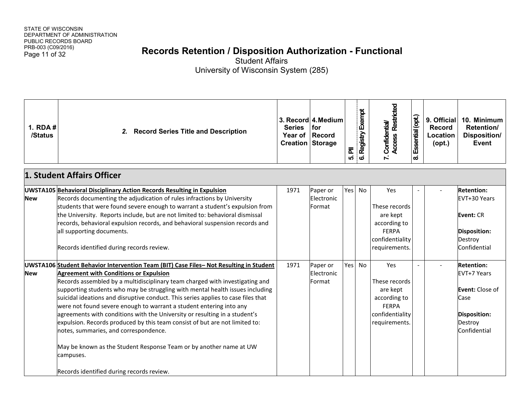# Page 11 of 32 **Records Retention / Disposition Authorization - Functional**

| 1. RDA $#$<br>/Status | <b>Record Series Title and Description</b><br>2.                                                                                                                                                                                                                                                                                                                                                                                                                                                                                                                                                                                                                                                                                                                                                           | <b>Series</b><br>Year of Record<br><b>Creation Storage</b> | 3. Record 4. Medium<br><b>for</b> | 司<br>เก่ | 6. Registry Exempt | <b>Access Restricted</b><br>7. Confidential/                                                         | Essential (opt.)<br>$\boldsymbol{\infty}$ | 9. Official<br><b>Record</b><br>Location<br>$($ opt. $)$ | 10. Minimum<br>Retention/<br><b>Disposition/</b><br>Event                                                     |
|-----------------------|------------------------------------------------------------------------------------------------------------------------------------------------------------------------------------------------------------------------------------------------------------------------------------------------------------------------------------------------------------------------------------------------------------------------------------------------------------------------------------------------------------------------------------------------------------------------------------------------------------------------------------------------------------------------------------------------------------------------------------------------------------------------------------------------------------|------------------------------------------------------------|-----------------------------------|----------|--------------------|------------------------------------------------------------------------------------------------------|-------------------------------------------|----------------------------------------------------------|---------------------------------------------------------------------------------------------------------------|
|                       | 1. Student Affairs Officer                                                                                                                                                                                                                                                                                                                                                                                                                                                                                                                                                                                                                                                                                                                                                                                 |                                                            |                                   |          |                    |                                                                                                      |                                           |                                                          |                                                                                                               |
| <b>New</b>            | UWSTA105 Behavioral Disciplinary Action Records Resulting in Expulsion<br>Records documenting the adjudication of rules infractions by University<br>students that were found severe enough to warrant a student's expulsion from<br>the University. Reports include, but are not limited to: behavioral dismissal<br>records, behavioral expulsion records, and behavioral suspension records and<br>all supporting documents.<br>Records identified during records review.                                                                                                                                                                                                                                                                                                                               | 1971                                                       | Paper or<br>Electronic<br>Format  | Yes      | <b>No</b>          | Yes<br>These records<br>are kept<br>according to<br><b>FFRPA</b><br>confidentiality<br>requirements. |                                           |                                                          | <b>Retention:</b><br>EVT+30 Years<br><b>Event: CR</b><br><b>Disposition:</b><br>Destroy<br>Confidential       |
| <b>New</b>            | UWSTA106 Student Behavior Intervention Team (BIT) Case Files- Not Resulting in Student<br><b>Agreement with Conditions or Expulsion</b><br>Records assembled by a multidisciplinary team charged with investigating and<br>supporting students who may be struggling with mental health issues including<br>suicidal ideations and disruptive conduct. This series applies to case files that<br>were not found severe enough to warrant a student entering into any<br>agreements with conditions with the University or resulting in a student's<br>expulsion. Records produced by this team consist of but are not limited to:<br>notes, summaries, and correspondence.<br>May be known as the Student Response Team or by another name at UW<br>campuses.<br>Records identified during records review. | 1971                                                       | Paper or<br>Electronic<br>Format  | Yes No   |                    | Yes<br>These records<br>are kept<br>according to<br><b>FERPA</b><br>confidentiality<br>requirements. |                                           |                                                          | <b>Retention:</b><br>EVT+7 Years<br>Event: Close of<br>Case<br><b>Disposition:</b><br>Destroy<br>Confidential |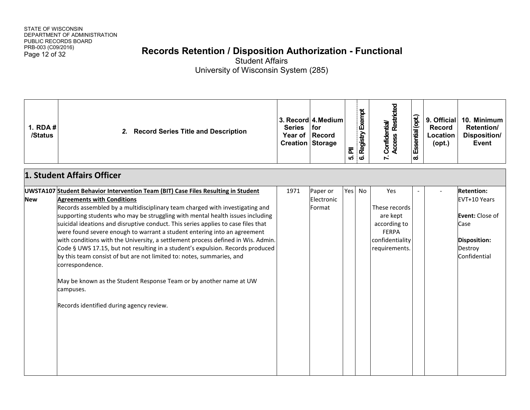# Page 12 of 32 **Records Retention / Disposition Authorization - Functional**

| 1. $RDA#$<br>/Status | <b>Record Series Title and Description</b><br>2.                                                                                                                                                                                                                                                                                                                                                                                                                                                                                                                                                                                                                                                                                                                                                                                                          | <b>Series</b> | 3. Record 4. Medium<br>for<br>Year of Record<br><b>Creation Storage</b> | ᇍ<br>ເດ່ | 6. Registry Exempt | 7. Confidential/<br>Access Restricted                                                                | Essential (opt.)<br>$\boldsymbol{\infty}$ | 9. Official<br>Record<br>Location<br>$($ opt. $)$ | 10. Minimum<br>Retention/<br>Disposition/<br>Event                                                                    |
|----------------------|-----------------------------------------------------------------------------------------------------------------------------------------------------------------------------------------------------------------------------------------------------------------------------------------------------------------------------------------------------------------------------------------------------------------------------------------------------------------------------------------------------------------------------------------------------------------------------------------------------------------------------------------------------------------------------------------------------------------------------------------------------------------------------------------------------------------------------------------------------------|---------------|-------------------------------------------------------------------------|----------|--------------------|------------------------------------------------------------------------------------------------------|-------------------------------------------|---------------------------------------------------|-----------------------------------------------------------------------------------------------------------------------|
|                      | 1. Student Affairs Officer                                                                                                                                                                                                                                                                                                                                                                                                                                                                                                                                                                                                                                                                                                                                                                                                                                |               |                                                                         |          |                    |                                                                                                      |                                           |                                                   |                                                                                                                       |
| <b>New</b>           | UWSTA107 Student Behavior Intervention Team (BIT) Case Files Resulting in Student<br><b>Agreements with Conditions</b><br>Records assembled by a multidisciplinary team charged with investigating and<br>supporting students who may be struggling with mental health issues including<br>suicidal ideations and disruptive conduct. This series applies to case files that<br>were found severe enough to warrant a student entering into an agreement<br>with conditions with the University, a settlement process defined in Wis. Admin.<br>Code § UWS 17.15, but not resulting in a student's expulsion. Records produced<br>by this team consist of but are not limited to: notes, summaries, and<br>correspondence.<br>May be known as the Student Response Team or by another name at UW<br>campuses.<br>Records identified during agency review. | 1971          | Paper or<br>Electronic<br>Format                                        | Yes      | <b>No</b>          | Yes<br>These records<br>are kept<br>according to<br><b>FERPA</b><br>confidentiality<br>requirements. |                                           |                                                   | <b>Retention:</b><br>EVT+10 Years<br><b>Event:</b> Close of<br>Case<br>Disposition:<br>Destroy<br><b>Confidential</b> |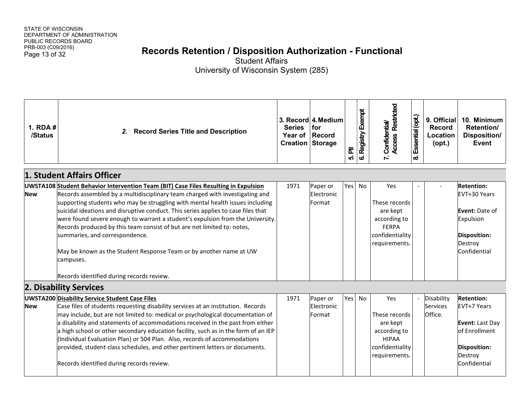# Page 13 of 32 **Records Retention / Disposition Authorization - Functional**

| 1. $RDA#$<br>/Status | <b>Record Series Title and Description</b><br>2.                                                                                                                                                                                                                                                                                                                                                                                                                                                                                                                                                                                                                         | <b>Series</b><br>Year of<br><b>Creation Storage</b> | 3. Record 4. Medium<br>for<br><b>Record</b> | 눈<br>ທ່ | 6. Registry Exempt | 7. Confidential/<br>Access Restricted                                                                | Essential (opt.)<br>ထံ | 9. Official<br>Record<br>Location<br>$($ opt. $)$ | 10. Minimum<br>Retention/<br>Disposition/<br>Event                                                                        |
|----------------------|--------------------------------------------------------------------------------------------------------------------------------------------------------------------------------------------------------------------------------------------------------------------------------------------------------------------------------------------------------------------------------------------------------------------------------------------------------------------------------------------------------------------------------------------------------------------------------------------------------------------------------------------------------------------------|-----------------------------------------------------|---------------------------------------------|---------|--------------------|------------------------------------------------------------------------------------------------------|------------------------|---------------------------------------------------|---------------------------------------------------------------------------------------------------------------------------|
|                      | 1. Student Affairs Officer                                                                                                                                                                                                                                                                                                                                                                                                                                                                                                                                                                                                                                               |                                                     |                                             |         |                    |                                                                                                      |                        |                                                   |                                                                                                                           |
| <b>New</b>           | UWSTA108 Student Behavior Intervention Team (BIT) Case Files Resulting in Expulsion<br>Records assembled by a multidisciplinary team charged with investigating and<br>supporting students who may be struggling with mental health issues including<br>suicidal ideations and disruptive conduct. This series applies to case files that<br>were found severe enough to warrant a student's expulsion from the University.<br>Records produced by this team consist of but are not limited to: notes,<br>summaries, and correspondence.<br>May be known as the Student Response Team or by another name at UW<br>campuses.<br>Records identified during records review. | 1971                                                | Paper or<br>Electronic<br>Format            | Yesl    | <b>No</b>          | Yes<br>These records<br>are kept<br>according to<br><b>FERPA</b><br>confidentiality<br>requirements. |                        |                                                   | <b>Retention:</b><br>EVT+30 Years<br><b>Event: Date of</b><br>Expulsion<br><b>Disposition:</b><br>Destroy<br>Confidential |
|                      | 2. Disability Services                                                                                                                                                                                                                                                                                                                                                                                                                                                                                                                                                                                                                                                   |                                                     |                                             |         |                    |                                                                                                      |                        |                                                   |                                                                                                                           |
| <b>New</b>           | <b>UWSTA200 Disability Service Student Case Files</b><br>Case files of students requesting disability services at an institution. Records<br>may include, but are not limited to: medical or psychological documentation of<br>a disability and statements of accommodations received in the past from either<br>a high school or other secondary education facility, such as in the form of an IEP<br>(Individual Evaluation Plan) or 504 Plan. Also, records of accommodations<br>provided, student class schedules, and other pertinent letters or documents.<br>Records identified during records review.                                                            | 1971                                                | Paper or<br>Electronic<br>Format            | Yesl    | No                 | Yes<br>These records<br>are kept<br>according to<br><b>HIPAA</b><br>confidentiality<br>requirements. |                        | Disability<br><b>Services</b><br>Office.          | <b>Retention:</b><br>EVT+7 Years<br><b>Event: Last Day</b><br>of Enrollment<br>Disposition:<br>Destroy<br>Confidential    |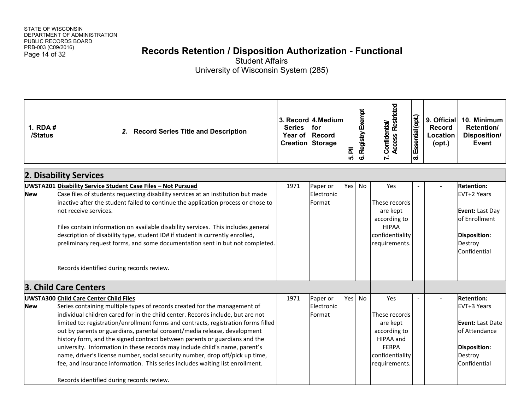# Page 14 of 32 **Records Retention / Disposition Authorization - Functional**

| 1. $RDA#$<br>/Status | <b>Record Series Title and Description</b><br>2.                                                                                                                                                                                                                                                                                                                                                                                                                                                                                                                                                                                                                                                                                                     | <b>Series</b><br><b>Year of</b><br><b>Creation Storage</b> | 3. Record 4. Medium<br>for<br><b>Record</b> | ᇍ<br>ເດ່ | 6. Registry Exempt | Access Restricted<br>7. Confidential/                                                                             | Essential (opt.)<br>$\boldsymbol{\infty}$ | 9. Official<br>Record<br><b>Location</b><br>$($ opt. $)$ | 10. Minimum<br>Retention/<br>Disposition/<br>Event                                                                      |
|----------------------|------------------------------------------------------------------------------------------------------------------------------------------------------------------------------------------------------------------------------------------------------------------------------------------------------------------------------------------------------------------------------------------------------------------------------------------------------------------------------------------------------------------------------------------------------------------------------------------------------------------------------------------------------------------------------------------------------------------------------------------------------|------------------------------------------------------------|---------------------------------------------|----------|--------------------|-------------------------------------------------------------------------------------------------------------------|-------------------------------------------|----------------------------------------------------------|-------------------------------------------------------------------------------------------------------------------------|
|                      | 2. Disability Services                                                                                                                                                                                                                                                                                                                                                                                                                                                                                                                                                                                                                                                                                                                               |                                                            |                                             |          |                    |                                                                                                                   |                                           |                                                          |                                                                                                                         |
| <b>New</b>           | UWSTA201 Disability Service Student Case Files - Not Pursued<br>Case files of students requesting disability services at an institution but made<br>inactive after the student failed to continue the application process or chose to<br>not receive services.<br>Files contain information on available disability services. This includes general<br>description of disability type, student ID# if student is currently enrolled,<br>preliminary request forms, and some documentation sent in but not completed.<br>Records identified during records review.                                                                                                                                                                                    | 1971                                                       | Paper or<br>Electronic<br>Format            | Yes      | No                 | Yes<br>These records<br>are kept<br>according to<br><b>HIPAA</b><br>confidentiality<br>requirements.              |                                           |                                                          | <b>Retention:</b><br>EVT+2 Years<br>Event: Last Day<br>of Enrollment<br><b>Disposition:</b><br>Destroy<br>Confidential  |
|                      | 3. Child Care Centers                                                                                                                                                                                                                                                                                                                                                                                                                                                                                                                                                                                                                                                                                                                                |                                                            |                                             |          |                    |                                                                                                                   |                                           |                                                          |                                                                                                                         |
| <b>New</b>           | UWSTA300 Child Care Center Child Files<br>Series containing multiple types of records created for the management of<br>individual children cared for in the child center. Records include, but are not<br>limited to: registration/enrollment forms and contracts, registration forms filled<br>out by parents or guardians, parental consent/media release, development<br>history form, and the signed contract between parents or guardians and the<br>university. Information in these records may include child's name, parent's<br>name, driver's license number, social security number, drop off/pick up time,<br>fee, and insurance information. This series includes waiting list enrollment.<br>Records identified during records review. | 1971                                                       | Paper or<br>Electronic<br>Format            | Yes      | No                 | Yes<br>These records<br>are kept<br>according to<br>HIPAA and<br><b>FERPA</b><br>confidentiality<br>requirements. |                                           |                                                          | <b>Retention:</b><br>EVT+3 Years<br><b>Event: Last Date</b><br>of Attendance<br>Disposition:<br>Destroy<br>Confidential |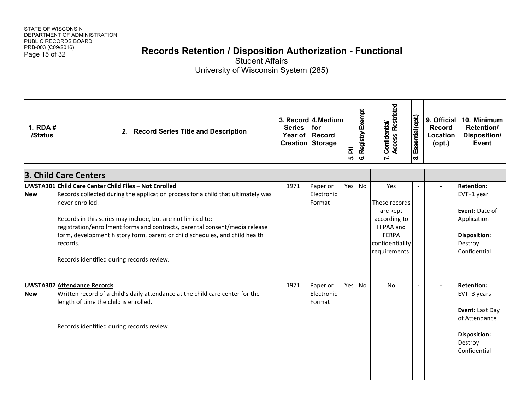# Page 15 of 32 **Records Retention / Disposition Authorization - Functional**

| 1. RDA #<br>/Status | 2. Record Series Title and Description                                                                                                                                                                                                                                                                                                                                                                                                             | <b>Series</b><br>Year of Record<br><b>Creation Storage</b> | 3. Record 4. Medium<br>  for     | ᇍ<br>เก่ | 6. Registry Exempt | 7. Confidential/<br>Access Restricted                                                                             | Essential (opt.)<br>$\boldsymbol{\infty}$ | 9. Official<br><b>Record</b><br>Location<br>$($ opt. $)$ | 10. Minimum<br>Retention/<br>Disposition/<br><b>Event</b>                                                                 |
|---------------------|----------------------------------------------------------------------------------------------------------------------------------------------------------------------------------------------------------------------------------------------------------------------------------------------------------------------------------------------------------------------------------------------------------------------------------------------------|------------------------------------------------------------|----------------------------------|----------|--------------------|-------------------------------------------------------------------------------------------------------------------|-------------------------------------------|----------------------------------------------------------|---------------------------------------------------------------------------------------------------------------------------|
|                     | 3. Child Care Centers                                                                                                                                                                                                                                                                                                                                                                                                                              |                                                            |                                  |          |                    |                                                                                                                   |                                           |                                                          |                                                                                                                           |
| <b>New</b>          | UWSTA301 Child Care Center Child Files - Not Enrolled<br>Records collected during the application process for a child that ultimately was<br>never enrolled.<br>Records in this series may include, but are not limited to:<br>registration/enrollment forms and contracts, parental consent/media release<br>form, development history form, parent or child schedules, and child health<br>records.<br>Records identified during records review. | 1971                                                       | Paper or<br>Electronic<br>Format | Yes      | No                 | Yes<br>These records<br>are kept<br>according to<br>HIPAA and<br><b>FERPA</b><br>confidentiality<br>requirements. |                                           |                                                          | <b>Retention:</b><br>EVT+1 year<br><b>Event: Date of</b><br>Application<br><b>Disposition:</b><br>Destroy<br>Confidential |
| <b>New</b>          | <b>UWSTA302 Attendance Records</b><br>Written record of a child's daily attendance at the child care center for the<br>length of time the child is enrolled.<br>Records identified during records review.                                                                                                                                                                                                                                          | 1971                                                       | Paper or<br>Electronic<br>Format | Yes      | No                 | No                                                                                                                | $\overline{\phantom{a}}$                  |                                                          | <b>Retention:</b><br>EVT+3 years<br>Event: Last Day<br>of Attendance<br>Disposition:<br>Destroy<br>Confidential           |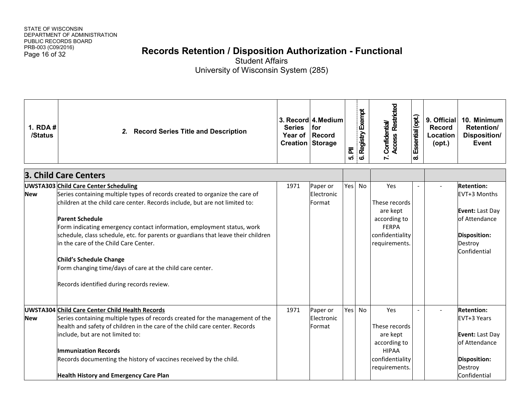# Page 16 of 32 **Records Retention / Disposition Authorization - Functional**

| 1. $RDA#$<br>/Status | <b>Record Series Title and Description</b><br>2.                                                                                                                                                                                                                                                                                                                                                                                                                                                                                                                                  | <b>Series</b><br>Year of Record<br><b>Creation Storage</b> | 3. Record 4. Medium<br>for       | ᇍ<br>ທ່ | Registry Exempt<br>ဖ | <b>Access Restricted</b><br>7. Confidential/                                                         | Essential (opt.)<br>ထံ | 9. Official<br><b>Record</b><br>Location<br>$($ opt. $)$ | 10. Minimum<br>Retention/<br>Disposition/<br><b>Event</b>                                                              |
|----------------------|-----------------------------------------------------------------------------------------------------------------------------------------------------------------------------------------------------------------------------------------------------------------------------------------------------------------------------------------------------------------------------------------------------------------------------------------------------------------------------------------------------------------------------------------------------------------------------------|------------------------------------------------------------|----------------------------------|---------|----------------------|------------------------------------------------------------------------------------------------------|------------------------|----------------------------------------------------------|------------------------------------------------------------------------------------------------------------------------|
|                      | 3. Child Care Centers                                                                                                                                                                                                                                                                                                                                                                                                                                                                                                                                                             |                                                            |                                  |         |                      |                                                                                                      |                        |                                                          |                                                                                                                        |
| <b>New</b>           | <b>UWSTA303 Child Care Center Scheduling</b><br>Series containing multiple types of records created to organize the care of<br>children at the child care center. Records include, but are not limited to:<br><b>Parent Schedule</b><br>Form indicating emergency contact information, employment status, work<br>schedule, class schedule, etc. for parents or guardians that leave their children<br>in the care of the Child Care Center.<br>Child's Schedule Change<br>Form changing time/days of care at the child care center.<br>Records identified during records review. | 1971                                                       | Paper or<br>Electronic<br>Format | Yes     | No                   | Yes<br>These records<br>are kept<br>according to<br><b>FERPA</b><br>confidentiality<br>requirements. |                        |                                                          | <b>Retention:</b><br>EVT+3 Months<br>Event: Last Day<br>of Attendance<br>Disposition:<br>Destroy<br>Confidential       |
| <b>New</b>           | UWSTA304 Child Care Center Child Health Records<br>Series containing multiple types of records created for the management of the<br>health and safety of children in the care of the child care center. Records<br>include, but are not limited to:<br><b>Immunization Records</b><br>Records documenting the history of vaccines received by the child.<br><b>Health History and Emergency Care Plan</b>                                                                                                                                                                         | 1971                                                       | Paper or<br>Electronic<br>Format | Yes     | <b>No</b>            | Yes<br>These records<br>are kept<br>according to<br><b>HIPAA</b><br>confidentiality<br>requirements. |                        |                                                          | <b>Retention:</b><br>EVT+3 Years<br>Event: Last Day<br>of Attendance<br><b>Disposition:</b><br>Destroy<br>Confidential |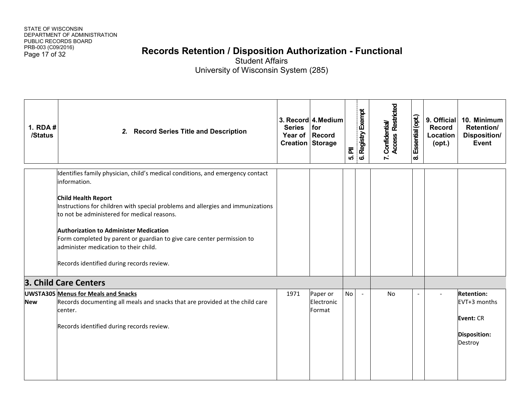# Page 17 of 32 **Records Retention / Disposition Authorization - Functional**

| 1. RDA #<br>/Status | 2. Record Series Title and Description                                                                                                                                                                                                                                                                                                                                                                                                                                          | <b>Series</b><br>Year of Record<br>Creation Storage | 3. Record 4. Medium<br>for       | $\overline{\overline{\mathbf{a}}}$<br>ທ່ | 6. Registry Exempt | Access Restricted<br>7. Confidential/ | Essential (opt.)<br>$\boldsymbol{\infty}$ | 9. Official<br><b>Record</b><br>Location<br>$($ opt. $)$ | 10. Minimum<br>Retention/<br><b>Disposition/</b><br>Event |
|---------------------|---------------------------------------------------------------------------------------------------------------------------------------------------------------------------------------------------------------------------------------------------------------------------------------------------------------------------------------------------------------------------------------------------------------------------------------------------------------------------------|-----------------------------------------------------|----------------------------------|------------------------------------------|--------------------|---------------------------------------|-------------------------------------------|----------------------------------------------------------|-----------------------------------------------------------|
|                     | Identifies family physician, child's medical conditions, and emergency contact<br>information.<br><b>Child Health Report</b><br>Instructions for children with special problems and allergies and immunizations<br>to not be administered for medical reasons.<br><b>Authorization to Administer Medication</b><br>Form completed by parent or guardian to give care center permission to<br>administer medication to their child.<br>Records identified during records review. |                                                     |                                  |                                          |                    |                                       |                                           |                                                          |                                                           |
| <b>New</b>          | 3. Child Care Centers<br><b>UWSTA305 Menus for Meals and Snacks</b><br>Records documenting all meals and snacks that are provided at the child care<br>center.                                                                                                                                                                                                                                                                                                                  | 1971                                                | Paper or<br>Electronic<br>Format | No                                       | $\blacksquare$     | No                                    |                                           |                                                          | <b>Retention:</b><br>EVT+3 months                         |
|                     | Records identified during records review.                                                                                                                                                                                                                                                                                                                                                                                                                                       |                                                     |                                  |                                          |                    |                                       |                                           |                                                          | <b>Event: CR</b><br><b>Disposition:</b><br>Destroy        |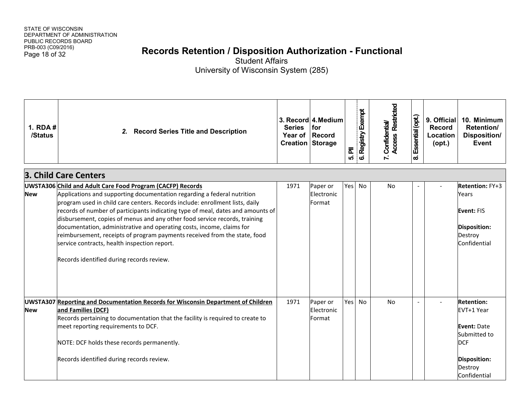# Page 18 of 32 **Records Retention / Disposition Authorization - Functional**

| 1. RDA #<br>/Status | 2. Record Series Title and Description                                                                                                                                                                                                                                                                                                                                                                                                                                                                                                                                                                                                    | <b>Series</b><br>Year of Record<br><b>Creation Storage</b> | 3. Record 4. Medium<br>for       | 司<br>ທ່ | Registry Exempt<br> ဖ | <b>Access Restricted</b><br>7. Confidential/ | Essential (opt.)<br>ထံ | 9. Official<br><b>Record</b><br>Location<br>$($ opt. $)$ | 10. Minimum<br>Retention/<br>Disposition/<br>Event                                                                                    |
|---------------------|-------------------------------------------------------------------------------------------------------------------------------------------------------------------------------------------------------------------------------------------------------------------------------------------------------------------------------------------------------------------------------------------------------------------------------------------------------------------------------------------------------------------------------------------------------------------------------------------------------------------------------------------|------------------------------------------------------------|----------------------------------|---------|-----------------------|----------------------------------------------|------------------------|----------------------------------------------------------|---------------------------------------------------------------------------------------------------------------------------------------|
|                     | 3. Child Care Centers                                                                                                                                                                                                                                                                                                                                                                                                                                                                                                                                                                                                                     |                                                            |                                  |         |                       |                                              |                        |                                                          |                                                                                                                                       |
| <b>New</b>          | UWSTA306 Child and Adult Care Food Program (CACFP) Records<br>Applications and supporting documentation regarding a federal nutrition<br>program used in child care centers. Records include: enrollment lists, daily<br>records of number of participants indicating type of meal, dates and amounts of<br>disbursement, copies of menus and any other food service records, training<br>documentation, administrative and operating costs, income, claims for<br>reimbursement, receipts of program payments received from the state, food<br>service contracts, health inspection report.<br>Records identified during records review. | 1971                                                       | Paper or<br>Electronic<br>Format | Yes     | No                    | <b>No</b>                                    |                        |                                                          | Retention: FY+3<br>Years<br>Event: FIS<br>Disposition:<br>Destroy<br>Confidential                                                     |
| <b>New</b>          | UWSTA307 Reporting and Documentation Records for Wisconsin Department of Children<br>and Families (DCF)<br>Records pertaining to documentation that the facility is required to create to<br>meet reporting requirements to DCF.<br>NOTE: DCF holds these records permanently.<br>Records identified during records review.                                                                                                                                                                                                                                                                                                               | 1971                                                       | Paper or<br>Electronic<br>Format | Yes     | <b>No</b>             | <b>No</b>                                    | $\overline{a}$         |                                                          | <b>Retention:</b><br>EVT+1 Year<br><b>Event: Date</b><br>Submitted to<br><b>DCF</b><br>Disposition:<br>Destroy<br><b>Confidential</b> |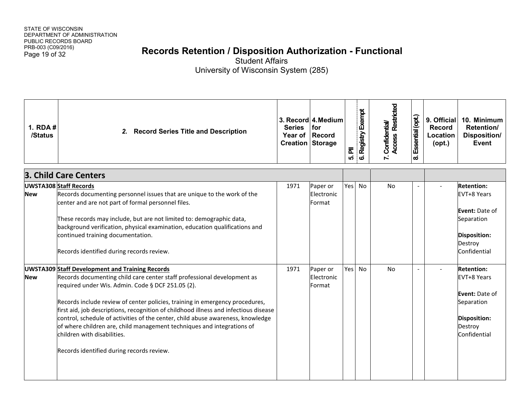# Page 19 of 32 **Records Retention / Disposition Authorization - Functional**

| 1. $RDA#$<br>/Status | 2. Record Series Title and Description                                                                                                                                                                                                                                                                                                                                                                                                                                                                                                                                                                  | <b>Series</b><br>Year of Record<br><b>Creation Storage</b> | 3. Record 4. Medium<br>for       | ᇍ<br>ທ່ | Registry Exempt<br>$\mathbf{o}$ | 7. Confidential/<br>Access Restricted | Essential (opt.)<br>ക് | 9. Official<br><b>Record</b><br>Location<br>$($ opt. $)$ | 10. Minimum<br>Retention/<br>Disposition/<br>Event                                                                        |
|----------------------|---------------------------------------------------------------------------------------------------------------------------------------------------------------------------------------------------------------------------------------------------------------------------------------------------------------------------------------------------------------------------------------------------------------------------------------------------------------------------------------------------------------------------------------------------------------------------------------------------------|------------------------------------------------------------|----------------------------------|---------|---------------------------------|---------------------------------------|------------------------|----------------------------------------------------------|---------------------------------------------------------------------------------------------------------------------------|
|                      | 3. Child Care Centers                                                                                                                                                                                                                                                                                                                                                                                                                                                                                                                                                                                   |                                                            |                                  |         |                                 |                                       |                        |                                                          |                                                                                                                           |
| <b>New</b>           | <b>UWSTA308 Staff Records</b><br>Records documenting personnel issues that are unique to the work of the<br>center and are not part of formal personnel files.<br>These records may include, but are not limited to: demographic data,<br>background verification, physical examination, education qualifications and<br>continued training documentation.<br>Records identified during records review.                                                                                                                                                                                                 | 1971                                                       | Paper or<br>Electronic<br>Format | Yes     | No                              | <b>No</b>                             |                        |                                                          | <b>Retention:</b><br>EVT+8 Years<br><b>Event: Date of</b><br>Separation<br><b>Disposition:</b><br>Destroy<br>Confidential |
| <b>New</b>           | <b>UWSTA309 Staff Development and Training Records</b><br>Records documenting child care center staff professional development as<br>required under Wis. Admin. Code § DCF 251.05 (2).<br>Records include review of center policies, training in emergency procedures,<br>first aid, job descriptions, recognition of childhood illness and infectious disease<br>control, schedule of activities of the center, child abuse awareness, knowledge<br>of where children are, child management techniques and integrations of<br>children with disabilities.<br>Records identified during records review. | 1971                                                       | Paper or<br>Electronic<br>Format | Yes     | No                              | <b>No</b>                             |                        |                                                          | <b>Retention:</b><br>EVT+8 Years<br>Event: Date of<br>Separation<br><b>Disposition:</b><br>Destroy<br>Confidential        |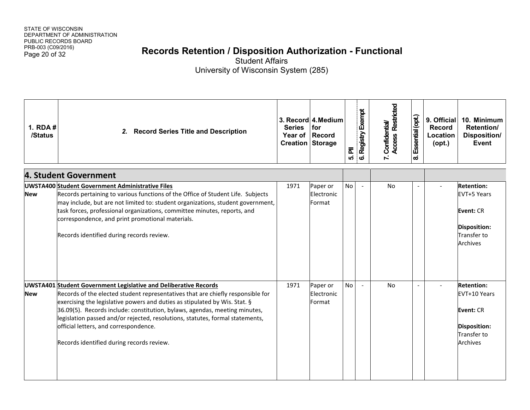# Page 20 of 32 **Records Retention / Disposition Authorization - Functional**

| 1. RDA #<br>/Status | <b>Record Series Title and Description</b><br>2.                                                                                                                                                                                                                                                                                                                                                                                                                                              | <b>Series</b><br>Year of Record<br><b>Creation Storage</b> | 3. Record 4. Medium<br>for       | ᇍ<br>ທ່   | 6. Registry Exempt | <b>Access Restricted</b><br>7. Confidential/ | Essential (opt.)<br>ထံ   | 9. Official<br><b>Record</b><br>Location<br>$($ opt. $)$ | 10. Minimum<br>Retention/<br>Disposition/<br>Event                                                            |
|---------------------|-----------------------------------------------------------------------------------------------------------------------------------------------------------------------------------------------------------------------------------------------------------------------------------------------------------------------------------------------------------------------------------------------------------------------------------------------------------------------------------------------|------------------------------------------------------------|----------------------------------|-----------|--------------------|----------------------------------------------|--------------------------|----------------------------------------------------------|---------------------------------------------------------------------------------------------------------------|
|                     | 4. Student Government                                                                                                                                                                                                                                                                                                                                                                                                                                                                         |                                                            |                                  |           |                    |                                              |                          |                                                          |                                                                                                               |
| <b>New</b>          | <b>UWSTA400 Student Government Administrative Files</b><br>Records pertaining to various functions of the Office of Student Life. Subjects<br>may include, but are not limited to: student organizations, student government,<br>task forces, professional organizations, committee minutes, reports, and<br>correspondence, and print promotional materials.<br>Records identified during records review.                                                                                    | 1971                                                       | Paper or<br>Electronic<br>Format | <b>No</b> | $\sim$             | <b>No</b>                                    |                          |                                                          | <b>Retention:</b><br>EVT+5 Years<br><b>Event: CR</b><br>Disposition:<br><b>Transfer to</b><br><b>Archives</b> |
| <b>New</b>          | <b>UWSTA401 Student Government Legislative and Deliberative Records</b><br>Records of the elected student representatives that are chiefly responsible for<br>exercising the legislative powers and duties as stipulated by Wis. Stat. §<br>36.09(5). Records include: constitution, bylaws, agendas, meeting minutes,<br>legislation passed and/or rejected, resolutions, statutes, formal statements,<br>official letters, and correspondence.<br>Records identified during records review. | 1971                                                       | Paper or<br>Electronic<br>Format | <b>No</b> | $\sim$             | <b>No</b>                                    | $\overline{\phantom{a}}$ |                                                          | <b>Retention:</b><br>EVT+10 Years<br>Event: CR<br><b>Disposition:</b><br>Transfer to<br><b>Archives</b>       |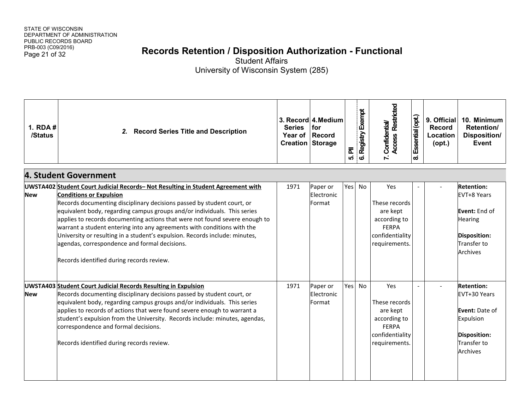# Page 21 of 32 **Records Retention / Disposition Authorization - Functional**

| 1. RDA $#$<br>/Status | <b>Record Series Title and Description</b><br>2.                                                                                                                                                                                                                                                                                                                                                                                                                                                                                                                                                                | <b>Series</b><br>Year of Record<br><b>Creation Storage</b> | 3. Record 4. Medium<br>for       | $\overline{\overline{\mathbf{a}}}$<br>ທ່ | 6. Registry Exempt | <b>Access Restricted</b><br>7. Confidential/                                                         | Essential (opt.)<br>ထံ | 9. Official<br><b>Record</b><br>Location<br>$($ opt. $)$ | 10. Minimum<br>Retention/<br>Disposition/<br><b>Event</b>                                                                    |
|-----------------------|-----------------------------------------------------------------------------------------------------------------------------------------------------------------------------------------------------------------------------------------------------------------------------------------------------------------------------------------------------------------------------------------------------------------------------------------------------------------------------------------------------------------------------------------------------------------------------------------------------------------|------------------------------------------------------------|----------------------------------|------------------------------------------|--------------------|------------------------------------------------------------------------------------------------------|------------------------|----------------------------------------------------------|------------------------------------------------------------------------------------------------------------------------------|
|                       | 4. Student Government                                                                                                                                                                                                                                                                                                                                                                                                                                                                                                                                                                                           |                                                            |                                  |                                          |                    |                                                                                                      |                        |                                                          |                                                                                                                              |
| <b>New</b>            | UWSTA402 Student Court Judicial Records- Not Resulting in Student Agreement with<br><b>Conditions or Expulsion</b><br>Records documenting disciplinary decisions passed by student court, or<br>equivalent body, regarding campus groups and/or individuals. This series<br>applies to records documenting actions that were not found severe enough to<br>warrant a student entering into any agreements with conditions with the<br>University or resulting in a student's expulsion. Records include: minutes,<br>agendas, correspondence and formal decisions.<br>Records identified during records review. | 1971                                                       | Paper or<br>Electronic<br>Format | Yes                                      | No                 | Yes<br>These records<br>are kept<br>according to<br><b>FERPA</b><br>confidentiality<br>requirements. |                        |                                                          | <b>Retention:</b><br><b>EVT+8 Years</b><br>Event: End of<br><b>Hearing</b><br>Disposition:<br>Transfer to<br><b>Archives</b> |
| <b>New</b>            | <b>UWSTA403 Student Court Judicial Records Resulting in Expulsion</b><br>Records documenting disciplinary decisions passed by student court, or<br>equivalent body, regarding campus groups and/or individuals. This series<br>applies to records of actions that were found severe enough to warrant a<br>student's expulsion from the University. Records include: minutes, agendas,<br>correspondence and formal decisions.<br>Records identified during records review.                                                                                                                                     | 1971                                                       | Paper or<br>Electronic<br>Format | Yes                                      | <b>No</b>          | Yes<br>These records<br>are kept<br>according to<br><b>FERPA</b><br>confidentiality<br>requirements. | $\overline{a}$         |                                                          | <b>Retention:</b><br>EVT+30 Years<br><b>Event: Date of</b><br>Expulsion<br>Disposition:<br><b>Transfer to</b><br>Archives    |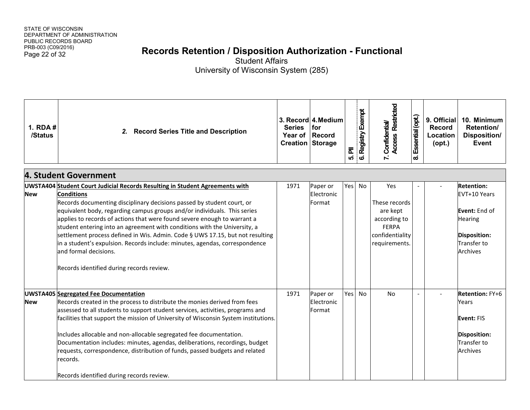# Page 22 of 32 **Records Retention / Disposition Authorization - Functional**

| 1. RDA #<br>/Status | 2. Record Series Title and Description                                                                                                                                                                                                                                                                                                                                                                                                                                                                                                                                                                                                                 | <b>Series</b><br>Year of<br><b>Creation Storage</b> | 3. Record 4. Medium<br>for<br><b>Record</b> | 司<br>ເດ່ | Registry Exempt<br>ဖ | 7. Confidential/<br>Access Restricted                                                                | Essential (opt.)<br>ထံ   | 9. Official<br><b>Record</b><br>Location<br>$($ opt. $)$ | 10. Minimum<br>Retention/<br><b>Disposition/</b><br><b>Event</b>                                                                     |
|---------------------|--------------------------------------------------------------------------------------------------------------------------------------------------------------------------------------------------------------------------------------------------------------------------------------------------------------------------------------------------------------------------------------------------------------------------------------------------------------------------------------------------------------------------------------------------------------------------------------------------------------------------------------------------------|-----------------------------------------------------|---------------------------------------------|----------|----------------------|------------------------------------------------------------------------------------------------------|--------------------------|----------------------------------------------------------|--------------------------------------------------------------------------------------------------------------------------------------|
|                     | 4. Student Government                                                                                                                                                                                                                                                                                                                                                                                                                                                                                                                                                                                                                                  |                                                     |                                             |          |                      |                                                                                                      |                          |                                                          |                                                                                                                                      |
| <b>New</b>          | UWSTA404 Student Court Judicial Records Resulting in Student Agreements with<br><b>Conditions</b><br>Records documenting disciplinary decisions passed by student court, or<br>equivalent body, regarding campus groups and/or individuals. This series<br>applies to records of actions that were found severe enough to warrant a<br>student entering into an agreement with conditions with the University, a<br>settlement process defined in Wis. Admin. Code § UWS 17.15, but not resulting<br>in a student's expulsion. Records include: minutes, agendas, correspondence<br>and formal decisions.<br>Records identified during records review. | 1971                                                | Paper or<br>Electronic<br>Format            | Yes      | No                   | Yes<br>These records<br>are kept<br>according to<br><b>FERPA</b><br>confidentiality<br>requirements. |                          |                                                          | <b>Retention:</b><br>EVT+10 Years<br>Event: End of<br><b>Hearing</b><br><b>Disposition:</b><br><b>Transfer to</b><br><b>Archives</b> |
| <b>New</b>          | <b>UWSTA405 Segregated Fee Documentation</b><br>Records created in the process to distribute the monies derived from fees<br>assessed to all students to support student services, activities, programs and<br>facilities that support the mission of University of Wisconsin System institutions.<br>Includes allocable and non-allocable segregated fee documentation.<br>Documentation includes: minutes, agendas, deliberations, recordings, budget<br>requests, correspondence, distribution of funds, passed budgets and related<br>records.<br>Records identified during records review.                                                        | 1971                                                | Paper or<br>Electronic<br>Format            | Yes      | No                   | <b>No</b>                                                                                            | $\overline{\phantom{a}}$ |                                                          | <b>Retention: FY+6</b><br>Years<br>Event: FIS<br><b>Disposition:</b><br>Transfer to<br><b>Archives</b>                               |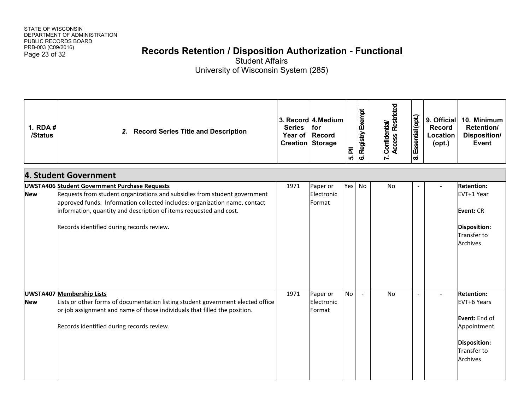# Page 23 of 32 **Records Retention / Disposition Authorization - Functional**

| 1. RDA #<br>/Status | 2. Record Series Title and Description                                                                                                                                                                                                                                                                                             | <b>Series</b><br>Year of<br><b>Creation Storage</b> | 3. Record 4. Medium<br>for<br><b>Record</b> | $\overline{\overline{\mathbf{a}}}$<br>ທ່ | 6. Registry Exempt | 7. Confidential/<br>Access Restricted | Essential (opt.)<br>ထံ | 9. Official<br><b>Record</b><br>Location<br>$($ opt. $)$ | 10. Minimum<br>Retention/<br><b>Disposition/</b><br><b>Event</b>                                                                 |
|---------------------|------------------------------------------------------------------------------------------------------------------------------------------------------------------------------------------------------------------------------------------------------------------------------------------------------------------------------------|-----------------------------------------------------|---------------------------------------------|------------------------------------------|--------------------|---------------------------------------|------------------------|----------------------------------------------------------|----------------------------------------------------------------------------------------------------------------------------------|
|                     | 4. Student Government                                                                                                                                                                                                                                                                                                              |                                                     |                                             |                                          |                    |                                       |                        |                                                          |                                                                                                                                  |
| <b>New</b>          | <b>UWSTA406 Student Government Purchase Requests</b><br>Requests from student organizations and subsidies from student government<br>approved funds. Information collected includes: organization name, contact<br>information, quantity and description of items requested and cost.<br>Records identified during records review. | 1971                                                | Paper or<br>Electronic<br>Format            | Yes                                      | No                 | <b>No</b>                             |                        |                                                          | <b>Retention:</b><br>EVT+1 Year<br>Event: CR<br>Disposition:<br>Transfer to<br>Archives                                          |
| <b>New</b>          | <b>UWSTA407 Membership Lists</b><br>Lists or other forms of documentation listing student government elected office<br>or job assignment and name of those individuals that filled the position.<br>Records identified during records review.                                                                                      | 1971                                                | Paper or<br>Electronic<br>Format            | <b>No</b>                                | $\overline{a}$     | No                                    | $\overline{a}$         |                                                          | <b>Retention:</b><br>EVT+6 Years<br>Event: End of<br>Appointment<br><b>Disposition:</b><br><b>Transfer to</b><br><b>Archives</b> |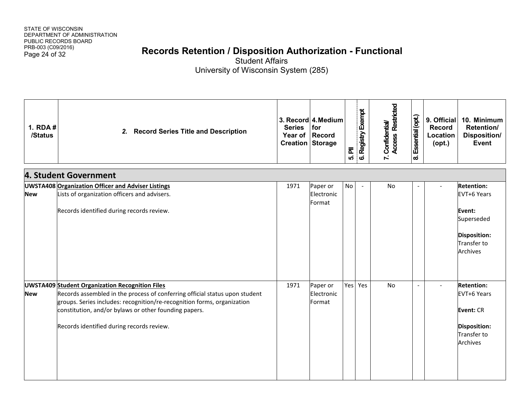# Page 24 of 32 **Records Retention / Disposition Authorization - Functional**

| 1. RDA #<br>/Status | 2.<br><b>Record Series Title and Description</b>                                                                                                                                                                                                                                                                       | <b>Series</b><br>Year of | 3. Record 4. Medium<br>for<br>Record<br><b>Creation Storage</b> | $\bar{\mathbf{r}}$<br>ທ່ | 6. Registry Exempt | <b>Access Restricted</b><br>7. Confidential/ | Essential (opt.)<br>$\infty$ | 9. Official<br><b>Record</b><br>Location<br>$($ opt. $)$ | 10. Minimum<br>Retention/<br>Disposition/<br>Event                                                                |
|---------------------|------------------------------------------------------------------------------------------------------------------------------------------------------------------------------------------------------------------------------------------------------------------------------------------------------------------------|--------------------------|-----------------------------------------------------------------|--------------------------|--------------------|----------------------------------------------|------------------------------|----------------------------------------------------------|-------------------------------------------------------------------------------------------------------------------|
|                     | 4. Student Government                                                                                                                                                                                                                                                                                                  |                          |                                                                 |                          |                    |                                              |                              |                                                          |                                                                                                                   |
| <b>New</b>          | <b>UWSTA408 Organization Officer and Adviser Listings</b><br>Lists of organization officers and advisers.<br>Records identified during records review.                                                                                                                                                                 | 1971                     | Paper or<br>Electronic<br>Format                                | No                       |                    | <b>No</b>                                    |                              |                                                          | <b>Retention:</b><br>EVT+6 Years<br>Event:<br>Superseded<br><b>Disposition:</b><br>Transfer to<br><b>Archives</b> |
| <b>New</b>          | <b>UWSTA409 Student Organization Recognition Files</b><br>Records assembled in the process of conferring official status upon student<br>groups. Series includes: recognition/re-recognition forms, organization<br>constitution, and/or bylaws or other founding papers.<br>Records identified during records review. | 1971                     | Paper or<br>Electronic<br>Format                                |                          | Yes Yes            | No                                           | $\overline{a}$               |                                                          | <b>Retention:</b><br>EVT+6 Years<br>Event: CR<br><b>Disposition:</b><br>Transfer to<br>Archives                   |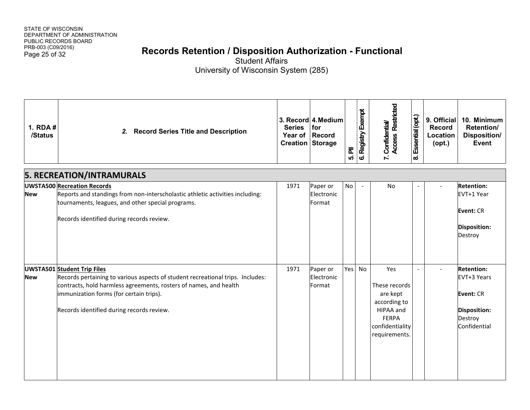# Page 25 of 32 **Records Retention / Disposition Authorization - Functional**

| 1. RDA #<br>/Status | 2. Record Series Title and Description                                                                                                                                                                                                                                            | <b>Series</b><br><b>Creation Storage</b> | 3. Record 4. Medium<br><b>I</b> for<br>Year of Record | $\bar{\mathbf{a}}$<br>ເດ່ | 6. Registry Exempt    | 7. Confidential/<br>Access Restricted                                                                             | Essential (opt.)<br>$\boldsymbol{\infty}$ | 9. Official<br><b>Record</b><br>Location<br>$($ opt. $)$ | 10. Minimum<br>Retention/<br>Disposition/<br><b>Event</b>                                              |
|---------------------|-----------------------------------------------------------------------------------------------------------------------------------------------------------------------------------------------------------------------------------------------------------------------------------|------------------------------------------|-------------------------------------------------------|---------------------------|-----------------------|-------------------------------------------------------------------------------------------------------------------|-------------------------------------------|----------------------------------------------------------|--------------------------------------------------------------------------------------------------------|
|                     | <b>5. RECREATION/INTRAMURALS</b>                                                                                                                                                                                                                                                  |                                          |                                                       |                           |                       |                                                                                                                   |                                           |                                                          |                                                                                                        |
| <b>New</b>          | UWSTA500 Recreation Records<br>Reports and standings from non-interscholastic athletic activities including:<br>tournaments, leagues, and other special programs.<br>Records identified during records review.                                                                    | 1971                                     | Paper or<br>Electronic<br>Format                      | <b>No</b>                 | $\tilde{\phantom{a}}$ | <b>No</b>                                                                                                         |                                           |                                                          | <b>Retention:</b><br>EVT+1 Year<br>Event: CR<br><b>Disposition:</b><br>Destroy                         |
| <b>New</b>          | <b>UWSTA501 Student Trip Files</b><br>Records pertaining to various aspects of student recreational trips. Includes:<br>contracts, hold harmless agreements, rosters of names, and health<br>immunization forms (for certain trips).<br>Records identified during records review. | 1971                                     | Paper or<br>Electronic<br>Format                      | Yes                       | <b>No</b>             | Yes<br>These records<br>are kept<br>according to<br>HIPAA and<br><b>FERPA</b><br>confidentiality<br>requirements. | $\overline{\phantom{a}}$                  |                                                          | <b>Retention:</b><br>EVT+3 Years<br><b>Event: CR</b><br><b>Disposition:</b><br>Destroy<br>Confidential |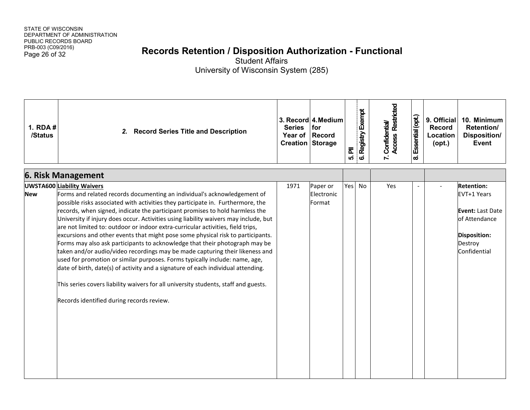# Page 26 of 32 **Records Retention / Disposition Authorization - Functional**

| 1. RDA #<br>/Status | <b>Record Series Title and Description</b><br>2.                                                                                                                                                                                                                                                                                                                                                                                                                                                                                                                                                                                                                                                                                                                                                                                                                                                                                                                                                                     | <b>Series</b><br>Year of Record<br><b>Creation Storage</b> | 3. Record 4. Medium<br>for       | ᇍ<br>ເດ່ | 6. Registry Exempt | <b>Access Restricted</b><br>7. Confidential/ | Essential (opt.)<br>$\boldsymbol{\infty}$ | 9. Official<br><b>Record</b><br>Location<br>$($ opt. $)$ | 10. Minimum<br>Retention/<br><b>Disposition/</b><br><b>Event</b>                                                        |
|---------------------|----------------------------------------------------------------------------------------------------------------------------------------------------------------------------------------------------------------------------------------------------------------------------------------------------------------------------------------------------------------------------------------------------------------------------------------------------------------------------------------------------------------------------------------------------------------------------------------------------------------------------------------------------------------------------------------------------------------------------------------------------------------------------------------------------------------------------------------------------------------------------------------------------------------------------------------------------------------------------------------------------------------------|------------------------------------------------------------|----------------------------------|----------|--------------------|----------------------------------------------|-------------------------------------------|----------------------------------------------------------|-------------------------------------------------------------------------------------------------------------------------|
|                     | <b>6. Risk Management</b>                                                                                                                                                                                                                                                                                                                                                                                                                                                                                                                                                                                                                                                                                                                                                                                                                                                                                                                                                                                            |                                                            |                                  |          |                    |                                              |                                           |                                                          |                                                                                                                         |
| <b>New</b>          | <b>UWSTA600 Liability Waivers</b><br>Forms and related records documenting an individual's acknowledgement of<br>possible risks associated with activities they participate in. Furthermore, the<br>records, when signed, indicate the participant promises to hold harmless the<br>University if injury does occur. Activities using liability waivers may include, but<br>are not limited to: outdoor or indoor extra-curricular activities, field trips,<br>excursions and other events that might pose some physical risk to participants.<br>Forms may also ask participants to acknowledge that their photograph may be<br>taken and/or audio/video recordings may be made capturing their likeness and<br>used for promotion or similar purposes. Forms typically include: name, age,<br>date of birth, date(s) of activity and a signature of each individual attending.<br>This series covers liability waivers for all university students, staff and guests.<br>Records identified during records review. | 1971                                                       | Paper or<br>Electronic<br>Format | Yes      | No                 | Yes                                          |                                           |                                                          | <b>Retention:</b><br>EVT+1 Years<br><b>Event: Last Date</b><br>of Attendance<br>Disposition:<br>Destroy<br>Confidential |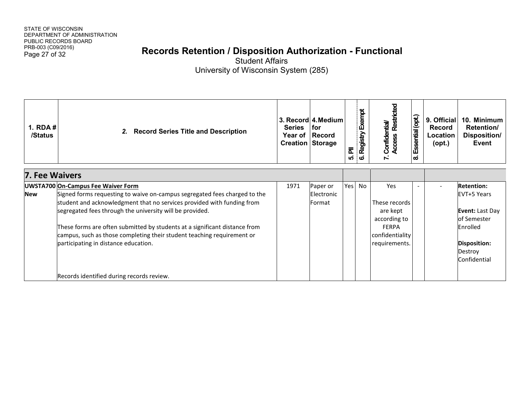# Page 27 of 32 **Records Retention / Disposition Authorization - Functional**

| <b>1. RDA#</b><br>/Status                                                  | 2. Record Series Title and Description                                    | <b>Series</b><br><b>Creation Storage</b> | 3. Record 4. Medium<br>l for<br>Year of Record | $\overline{\overline{\mathbf{a}}}$<br>ທ່ | Exempt<br><b>Registry</b><br>ဖ | Restricted<br>Confidential/<br>Access<br>$\mathbf{r}$ | Essential (opt.)<br>ത് | 9. Official<br><b>Record</b><br>Location<br>$($ opt. $)$ | 10. Minimum<br><b>Retention/</b><br>Disposition/<br>Event |
|----------------------------------------------------------------------------|---------------------------------------------------------------------------|------------------------------------------|------------------------------------------------|------------------------------------------|--------------------------------|-------------------------------------------------------|------------------------|----------------------------------------------------------|-----------------------------------------------------------|
| <b>7. Fee Waivers</b>                                                      |                                                                           |                                          |                                                |                                          |                                |                                                       |                        |                                                          |                                                           |
| <b>UWSTA700 On-Campus Fee Waiver Form</b>                                  |                                                                           | 1971                                     | Paper or                                       | Yes No                                   |                                | Yes                                                   |                        |                                                          | <b>Retention:</b>                                         |
| <b>New</b>                                                                 | Signed forms requesting to waive on-campus segregated fees charged to the |                                          | Electronic                                     |                                          |                                |                                                       |                        |                                                          | EVT+5 Years                                               |
|                                                                            | student and acknowledgment that no services provided with funding from    |                                          | <b>Format</b>                                  |                                          |                                | These records                                         |                        |                                                          |                                                           |
|                                                                            | segregated fees through the university will be provided.                  |                                          |                                                |                                          |                                | are kept                                              |                        |                                                          | <b>Event: Last Day</b>                                    |
|                                                                            |                                                                           |                                          |                                                |                                          |                                | according to                                          |                        |                                                          | of Semester                                               |
| These forms are often submitted by students at a significant distance from |                                                                           |                                          |                                                |                                          |                                | <b>FERPA</b>                                          |                        |                                                          | Enrolled                                                  |
|                                                                            | campus, such as those completing their student teaching requirement or    |                                          |                                                |                                          |                                | confidentiality                                       |                        |                                                          |                                                           |
|                                                                            | participating in distance education.                                      |                                          |                                                |                                          |                                | requirements.                                         |                        |                                                          | Disposition:                                              |
|                                                                            |                                                                           |                                          |                                                |                                          |                                |                                                       |                        |                                                          | Destroy<br>Confidential                                   |
|                                                                            |                                                                           |                                          |                                                |                                          |                                |                                                       |                        |                                                          |                                                           |
|                                                                            | Records identified during records review.                                 |                                          |                                                |                                          |                                |                                                       |                        |                                                          |                                                           |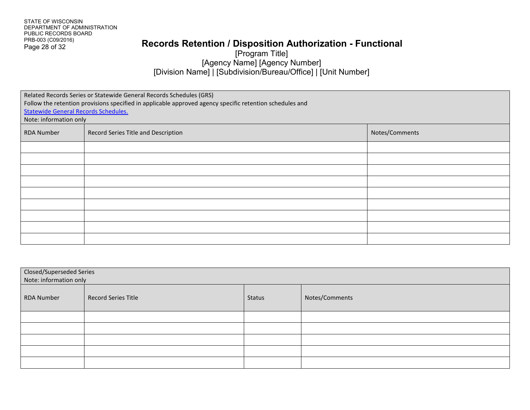#### **Records Retention / Disposition Authorization - Functional**

[Program Title] [Agency Name] [Agency Number] [Division Name] | [Subdivision/Bureau/Office] | [Unit Number]

| Related Records Series or Statewide General Records Schedules (GRS)<br>Follow the retention provisions specified in applicable approved agency specific retention schedules and<br><b>Statewide General Records Schedules.</b><br>Note: information only |                                     |                |  |  |
|----------------------------------------------------------------------------------------------------------------------------------------------------------------------------------------------------------------------------------------------------------|-------------------------------------|----------------|--|--|
| <b>RDA Number</b>                                                                                                                                                                                                                                        | Record Series Title and Description | Notes/Comments |  |  |
|                                                                                                                                                                                                                                                          |                                     |                |  |  |
|                                                                                                                                                                                                                                                          |                                     |                |  |  |
|                                                                                                                                                                                                                                                          |                                     |                |  |  |
|                                                                                                                                                                                                                                                          |                                     |                |  |  |
|                                                                                                                                                                                                                                                          |                                     |                |  |  |
|                                                                                                                                                                                                                                                          |                                     |                |  |  |
|                                                                                                                                                                                                                                                          |                                     |                |  |  |
|                                                                                                                                                                                                                                                          |                                     |                |  |  |
|                                                                                                                                                                                                                                                          |                                     |                |  |  |

| <b>Closed/Superseded Series</b><br>Note: information only |                            |               |                |
|-----------------------------------------------------------|----------------------------|---------------|----------------|
| <b>RDA Number</b>                                         | <b>Record Series Title</b> | <b>Status</b> | Notes/Comments |
|                                                           |                            |               |                |
|                                                           |                            |               |                |
|                                                           |                            |               |                |
|                                                           |                            |               |                |
|                                                           |                            |               |                |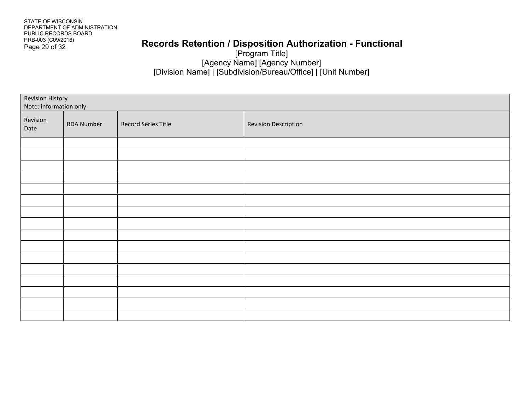#### **Records Retention / Disposition Authorization - Functional**

[Program Title] [Agency Name] [Agency Number] [Division Name] | [Subdivision/Bureau/Office] | [Unit Number]

| Revision History<br>Note: information only |            |                     |                             |
|--------------------------------------------|------------|---------------------|-----------------------------|
| Revision<br>Date                           | RDA Number | Record Series Title | <b>Revision Description</b> |
|                                            |            |                     |                             |
|                                            |            |                     |                             |
|                                            |            |                     |                             |
|                                            |            |                     |                             |
|                                            |            |                     |                             |
|                                            |            |                     |                             |
|                                            |            |                     |                             |
|                                            |            |                     |                             |
|                                            |            |                     |                             |
|                                            |            |                     |                             |
|                                            |            |                     |                             |
|                                            |            |                     |                             |
|                                            |            |                     |                             |
|                                            |            |                     |                             |
|                                            |            |                     |                             |
|                                            |            |                     |                             |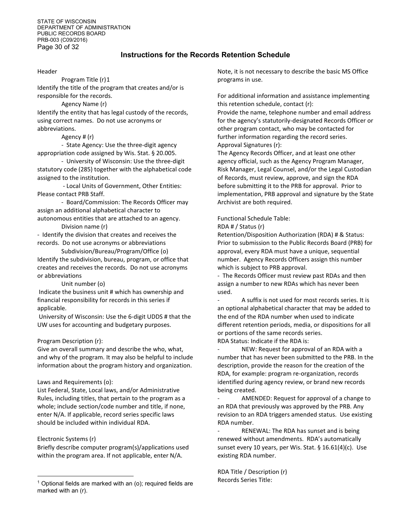STATE OF WISCONSIN DEPARTMENT OF ADMINISTRATION PUBLIC RECORDS BOARD PRB-003 (C09/2016) Page 30 of 32

#### **Instructions for the Records Retention Schedule**

#### Header

Program Title (r)[1](#page-29-0) Identify the title of the program that creates and/or is responsible for the records.

Agency Name (r)

Identify the entity that has legal custody of the records, using correct names. Do not use acronyms or abbreviations.

#### Agency # (r)

- State Agency: Use the three-digit agency appropriation code assigned by Wis. Stat. § 20.005.

- University of Wisconsin: Use the three-digit statutory code (285) together with the alphabetical code assigned to the institution.

- Local Units of Government, Other Entities: Please contact PRB Staff.

- Board/Commission: The Records Officer may assign an additional alphabetical character to autonomous entities that are attached to an agency. Division name (r)

- Identify the division that creates and receives the records. Do not use acronyms or abbreviations

Subdivision/Bureau/Program/Office (o) Identify the subdivision, bureau, program, or office that creates and receives the records. Do not use acronyms or abbreviations

Unit number (o)

Indicate the business unit # which has ownership and financial responsibility for records in this series if applicable.

University of Wisconsin: Use the 6-digit UDDS # that the UW uses for accounting and budgetary purposes.

#### Program Description (r):

Give an overall summary and describe the who, what, and why of the program. It may also be helpful to include information about the program history and organization.

#### Laws and Requirements (o):

List Federal, State, Local laws, and/or Administrative Rules, including titles, that pertain to the program as a whole; include section/code number and title, if none, enter N/A. If applicable, record series specific laws should be included within individual RDA.

#### Electronic Systems (r)

l

Briefly describe computer program(s)/applications used within the program area. If not applicable, enter N/A.

Note, it is not necessary to describe the basic MS Office programs in use.

For additional information and assistance implementing this retention schedule, contact (r):

Provide the name, telephone number and email address for the agency's statutorily-designated Records Officer or other program contact, who may be contacted for further information regarding the record series. Approval Signatures (r):

The Agency Records Officer, and at least one other agency official, such as the Agency Program Manager, Risk Manager, Legal Counsel, and/or the Legal Custodian of Records, must review, approve, and sign the RDA before submitting it to the PRB for approval. Prior to implementation, PRB approval and signature by the State Archivist are both required.

#### Functional Schedule Table:

#### RDA # / Status (r)

Retention/Disposition Authorization (RDA) # & Status: Prior to submission to the Public Records Board (PRB) for approval, every RDA must have a unique, sequential number. Agency Records Officers assign this number which is subject to PRB approval.

- The Records Officer must review past RDAs and then assign a number to new RDAs which has never been used.

A suffix is not used for most records series. It is an optional alphabetical character that may be added to the end of the RDA number when used to indicate different retention periods, media, or dispositions for all or portions of the same records series. RDA Status: Indicate if the RDA is:

NEW: Request for approval of an RDA with a number that has never been submitted to the PRB. In the description, provide the reason for the creation of the RDA, for example: program re-organization, records identified during agency review, or brand new records being created.

AMENDED: Request for approval of a change to an RDA that previously was approved by the PRB. Any revision to an RDA triggers amended status. Use existing RDA number.

RENEWAL: The RDA has sunset and is being renewed without amendments. RDA's automatically sunset every 10 years, per Wis. Stat. § 16.61(4)(c). Use existing RDA number.

RDA Title / Description (r) Records Series Title:

<span id="page-29-0"></span> $1$  Optional fields are marked with an (o); required fields are marked with an (r).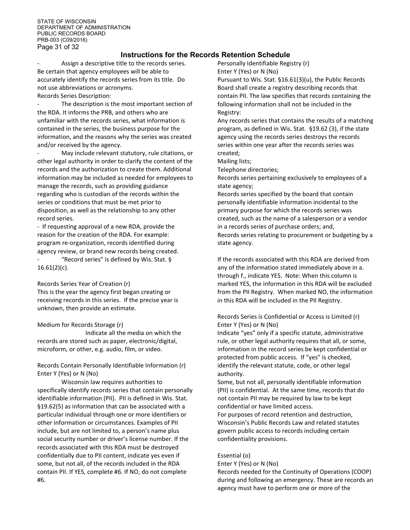#### **Instructions for the Records Retention Schedule**

Assign a descriptive title to the records series. Be certain that agency employees will be able to accurately identify the records series from its title. Do not use abbreviations or acronyms. Records Series Description:

The description is the most important section of the RDA. It informs the PRB, and others who are unfamiliar with the records series, what information is contained in the series, the business purpose for the information, and the reasons why the series was created and/or received by the agency.

May include relevant statutory, rule citations, or other legal authority in order to clarify the content of the records and the authorization to create them. Additional information may be included as needed for employees to manage the records, such as providing guidance regarding who is custodian of the records within the series or conditions that must be met prior to disposition, as well as the relationship to any other record series.

- If requesting approval of a new RDA, provide the reason for the creation of the RDA. For example: program re-organization, records identified during agency review, or brand new records being created.

"Record series" is defined by Wis. Stat.  $\S$  $16.61(2)(c)$ .

Records Series Year of Creation (r)

This is the year the agency first began creating or receiving records in this series. If the precise year is unknown, then provide an estimate.

Medium for Records Storage (r)

Indicate all the media on which the records are stored such as paper, electronic/digital, microform, or other, e.g. audio, film, or video.

Records Contain Personally Identifiable Information (r) Enter Y (Yes) or N (No)

Wisconsin law requires authorities to specifically identify records series that contain personally identifiable information (PII). PII is defined in Wis. Stat. §19.62(5) as information that can be associated with a particular individual through one or more identifiers or other information or circumstances. Examples of PII include, but are not limited to, a person's name plus social security number or driver's license number. If the records associated with this RDA must be destroyed confidentially due to PII content, indicate yes even if some, but not all, of the records included in the RDA contain PII. If YES, complete #6. If NO, do not complete #6.

Personally Identifiable Registry (r) Enter Y (Yes) or N (No)

Pursuant to Wis. Stat. §16.61(3)(u), the Public Records Board shall create a registry describing records that contain PII. The law specifies that records containing the following information shall not be included in the Registry:

Any records series that contains the results of a matching program, as defined in Wis. Stat. §19.62 (3), if the state agency using the records series destroys the records series within one year after the records series was created;

Mailing lists;

Telephone directories;

Records series pertaining exclusively to employees of a state agency;

Records series specified by the board that contain personally identifiable information incidental to the primary purpose for which the records series was created, such as the name of a salesperson or a vendor in a records series of purchase orders; and, Records series relating to procurement or budgeting by a state agency.

If the records associated with this RDA are derived from any of the information stated immediately above in a. through f., indicate YES. Note: When this column is marked YES, the information in this RDA will be excluded from the PII Registry. When marked NO, the information in this RDA will be included in the PII Registry.

#### Records Series is Confidential or Access is Limited (r) Enter Y (Yes) or N (No)

Indicate "yes" only if a specific statute, administrative rule, or other legal authority requires that all, or some, information in the record series be kept confidential or protected from public access. If "yes" is checked, identify the relevant statute, code, or other legal authority.

Some, but not all, personally identifiable information (PII) is confidential. At the same time, records that do not contain PII may be required by law to be kept confidential or have limited access.

For purposes of record retention and destruction, Wisconsin's Public Records Law and related statutes govern public access to records including certain confidentiality provisions.

#### Essential (o)

Enter Y (Yes) or N (No)

Records needed for the Continuity of Operations (COOP) during and following an emergency. These are records an agency must have to perform one or more of the